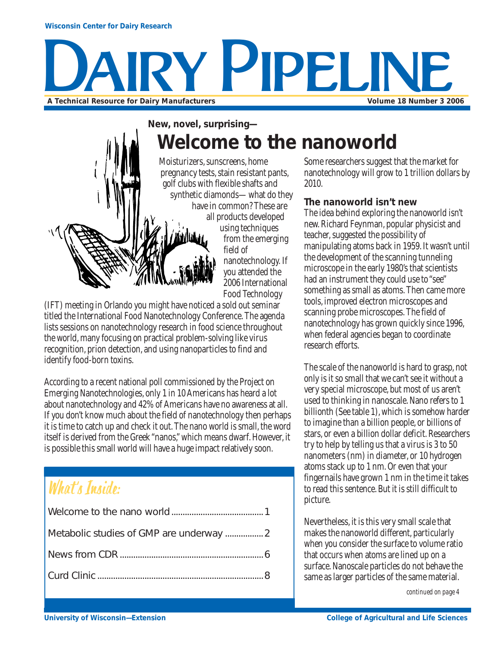#### **Wisconsin Center for Dairy Research**

# Y PIPELIN **A Technical Resource for Dairy Manufacturers Volume 18 Number 3 2006**

## **New, novel, surprising— Welcome to the nanoworld**



pregnancy tests, stain resistant pants, synthetic diamonds—what do they have in common? These are all products developed using techniques from the emerging field of nanotechnology. If you attended the 2006 International Food Technology

(IFT) meeting in Orlando you might have noticed a sold out seminar titled the International Food Nanotechnology Conference. The agenda lists sessions on nanotechnology research in food science throughout the world, many focusing on practical problem-solving like virus recognition, prion detection, and using nanoparticles to find and identify food-born toxins.

According to a recent national poll commissioned by the Project on Emerging Nanotechnologies, only 1 in 10 Americans has heard a lot about nanotechnology and 42% of Americans have no awareness at all. If you don't know much about the field of nanotechnology then perhaps it is time to catch up and check it out. The nano world is small, the word itself is derived from the Greek "nanos," which means dwarf. However, it is possible this small world will have a huge impact relatively soon.

## What's Inside:

| Metabolic studies of GMP are underway  2 |  |
|------------------------------------------|--|
|                                          |  |
|                                          |  |
|                                          |  |

Some researchers suggest that the market for nanotechnology will grow to 1 trillion dollars by 2010.

## **The nanoworld isn't new**

The idea behind exploring the nanoworld isn't new. Richard Feynman, popular physicist and teacher, suggested the possibility of manipulating atoms back in 1959. It wasn't until the development of the scanning tunneling microscope in the early 1980's that scientists had an instrument they could use to "see" something as small as atoms. Then came more tools, improved electron microscopes and scanning probe microscopes. The field of nanotechnology has grown quickly since 1996, when federal agencies began to coordinate research efforts.

The scale of the nanoworld is hard to grasp, not only is it so small that we can't see it without a very special microscope, but most of us aren't used to thinking in nanoscale. Nano refers to 1 billionth (See table 1), which is somehow harder to imagine than a billion people, or billions of stars, or even a billion dollar deficit. Researchers try to help by telling us that a virus is 3 to 50 nanometers (nm) in diameter, or 10 hydrogen atoms stack up to 1 nm. Or even that your fingernails have grown 1 nm in the time it takes to read this sentence. But it is still difficult to picture.

Nevertheless, it is this very small scale that makes the nanoworld different, particularly when you consider the surface to volume ratio that occurs when atoms are lined up on a surface. Nanoscale particles do not behave the same as larger particles of the same material.

*continued on page 4*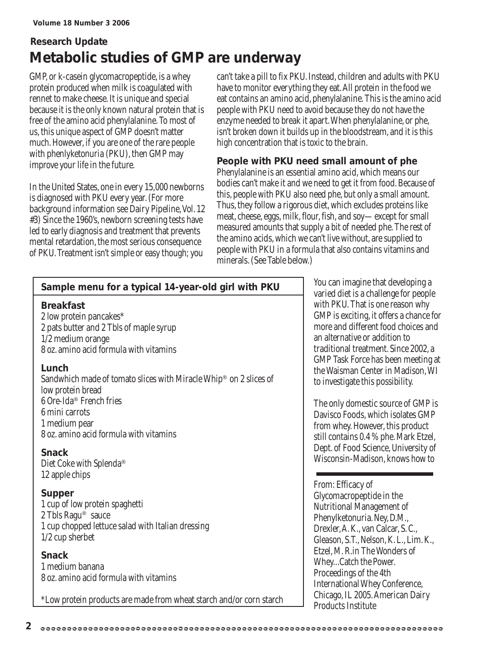## **Research Update Metabolic studies of GMP are underway**

GMP, or k-casein glycomacropeptide, is a whey protein produced when milk is coagulated with rennet to make cheese. It is unique and special because it is the only known natural protein that is free of the amino acid phenylalanine. To most of us, this unique aspect of GMP doesn't matter much. However, if you are one of the rare people with phenlyketonuria (PKU), then GMP may improve your life in the future.

In the United States, one in every 15,000 newborns is diagnosed with PKU every year. (For more background information see Dairy Pipeline, Vol. 12 #3) Since the 1960's, newborn screening tests have led to early diagnosis and treatment that prevents mental retardation, the most serious consequence of PKU. Treatment isn't simple or easy though; you

can't take a pill to fix PKU. Instead, children and adults with PKU have to monitor everything they eat. All protein in the food we eat contains an amino acid, phenylalanine. This is the amino acid people with PKU need to avoid because they do not have the enzyme needed to break it apart. When phenylalanine, or phe, isn't broken down it builds up in the bloodstream, and it is this high concentration that is toxic to the brain.

## **People with PKU need small amount of phe**

Phenylalanine is an essential amino acid, which means our bodies can't make it and we need to get it from food. Because of this, people with PKU also need phe, but only a small amount. Thus, they follow a rigorous diet, which excludes proteins like meat, cheese, eggs, milk, flour, fish, and soy—except for small measured amounts that supply a bit of needed phe. The rest of the amino acids, which we can't live without, are supplied to people with PKU in a formula that also contains vitamins and minerals. (See Table below.)

| Sample menu for a typical 14-year-old girl with PKU                                                                                                                                                                             |
|---------------------------------------------------------------------------------------------------------------------------------------------------------------------------------------------------------------------------------|
| <b>Breakfast</b><br>2 low protein pancakes*<br>2 pats butter and 2 Tbls of maple syrup<br>1/2 medium orange<br>8 oz. amino acid formula with vitamins                                                                           |
| Lunch<br>Sandwhich made of tomato slices with Miracle Whip <sup>®</sup> on 2 slices of<br>low protein bread<br>6 Ore-Ida <sup>®</sup> French fries<br>6 mini carrots<br>1 medium pear<br>8 oz. amino acid formula with vitamins |
| <b>Snack</b><br>Diet Coke with Splenda®<br>12 apple chips                                                                                                                                                                       |
| <b>Supper</b><br>1 cup of low protein spaghetti<br>2 Tbls Ragu <sup>®</sup> sauce<br>1 cup chopped lettuce salad with Italian dressing<br>$1/2$ cup sherbet                                                                     |
| <b>Snack</b><br>1 medium banana<br>8 oz. amino acid formula with vitamins                                                                                                                                                       |

\*Low protein products are made from wheat starch and/or corn starch

You can imagine that developing a varied diet is a challenge for people with PKU. That is one reason why GMP is exciting, it offers a chance for more and different food choices and an alternative or addition to traditional treatment. Since 2002, a GMP Task Force has been meeting at the Waisman Center in Madison, WI to investigate this possibility.

The only domestic source of GMP is Davisco Foods, which isolates GMP from whey. However, this product still contains 0.4 % phe. Mark Etzel, Dept. of Food Science, University of Wisconsin-Madison, knows how to

## From: Efficacy of

Glycomacropeptide in the Nutritional Management of Phenylketonuria. Ney, D.M., Drexler, A.K., van Calcar, S. C., Gleason, S.T., Nelson, K. L., Lim. K., Etzel, M. R.in The Wonders of Whey...Catch the Power. Proceedings of the 4th International Whey Conference, Chicago, IL 2005. American Dairy Products Institute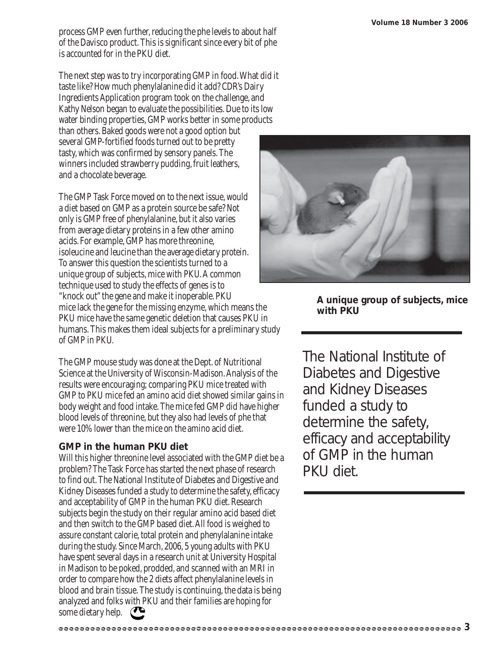process GMP even further, reducing the phe levels to about half of the Davisco product. This is significant since every bit of phe is accounted for in the PKU diet.

The next step was to try incorporating GMP in food. What did it taste like? How much phenylalanine did it add? CDR's Dairy Ingredients Application program took on the challenge, and Kathy Nelson began to evaluate the possibilities. Due to its low water binding properties, GMP works better in some products than others. Baked goods were not a good option but

several GMP-fortified foods turned out to be pretty tasty, which was confirmed by sensory panels. The winners included strawberry pudding, fruit leathers, and a chocolate beverage.

The GMP Task Force moved on to the next issue, would a diet based on GMP as a protein source be safe? Not only is GMP free of phenylalanine, but it also varies from average dietary proteins in a few other amino acids. For example, GMP has more threonine, isoleucine and leucine than the average dietary protein. To answer this question the scientists turned to a unique group of subjects, mice with PKU. A common technique used to study the effects of genes is to "knock out" the gene and make it inoperable. PKU mice lack the gene for the missing enzyme, which means the PKU mice have the same genetic deletion that causes PKU in humans. This makes them ideal subjects for a preliminary study of GMP in PKU.

The GMP mouse study was done at the Dept. of Nutritional Science at the University of Wisconsin-Madison. Analysis of the results were encouraging; comparing PKU mice treated with GMP to PKU mice fed an amino acid diet showed similar gains in body weight and food intake. The mice fed GMP did have higher blood levels of threonine, but they also had levels of phe that were 10% lower than the mice on the amino acid diet.

## **GMP in the human PKU diet**

Will this higher threonine level associated with the GMP diet be a problem? The Task Force has started the next phase of research to find out. The National Institute of Diabetes and Digestive and Kidney Diseases funded a study to determine the safety, efficacy and acceptability of GMP in the human PKU diet. Research subjects begin the study on their regular amino acid based diet and then switch to the GMP based diet. All food is weighed to assure constant calorie, total protein and phenylalanine intake during the study. Since March, 2006, 5 young adults with PKU have spent several days in a research unit at University Hospital in Madison to be poked, prodded, and scanned with an MRI in order to compare how the 2 diets affect phenylalanine levels in blood and brain tissue. The study is continuing, the data is being analyzed and folks with PKU and their families are hoping for some dietary help.



**A unique group of subjects, mice with PKU**

The National Institute of Diabetes and Digestive and Kidney Diseases funded a study to determine the safety, efficacy and acceptability of GMP in the human PKU diet.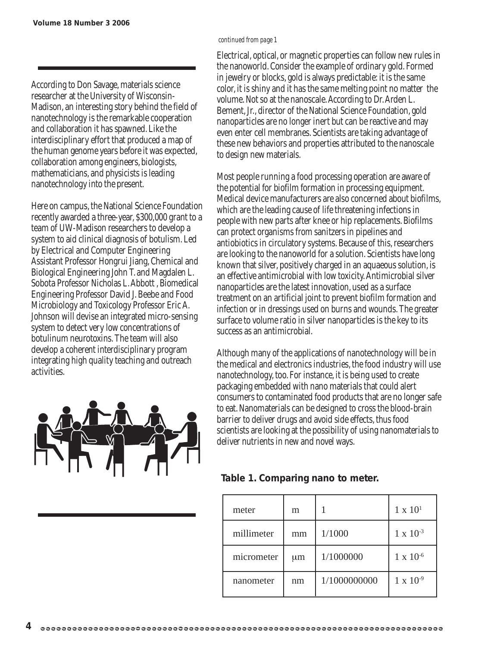According to Don Savage, materials science researcher at the University of Wisconsin-Madison, an interesting story behind the field of nanotechnology is the remarkable cooperation and collaboration it has spawned. Like the interdisciplinary effort that produced a map of the human genome years before it was expected, collaboration among engineers, biologists, mathematicians, and physicists is leading nanotechnology into the present.

Here on campus, the National Science Foundation recently awarded a three-year, \$300,000 grant to a team of UW-Madison researchers to develop a system to aid clinical diagnosis of botulism. Led by Electrical and Computer Engineering Assistant Professor Hongrui Jiang, Chemical and Biological Engineering John T. and Magdalen L. Sobota Professor Nicholas L. Abbott , Biomedical Engineering Professor David J. Beebe and Food Microbiology and Toxicology Professor Eric A. Johnson will devise an integrated micro-sensing system to detect very low concentrations of botulinum neurotoxins. The team will also develop a coherent interdisciplinary program integrating high quality teaching and outreach activities.



#### *continued from page 1*

Electrical, optical, or magnetic properties can follow new rules in the nanoworld. Consider the example of ordinary gold. Formed in jewelry or blocks, gold is always predictable: it is the same color, it is shiny and it has the same melting point no matter the volume. Not so at the nanoscale. According to Dr. Arden L. Bement, Jr., director of the National Science Foundation, gold nanoparticles are no longer inert but can be reactive and may even enter cell membranes. Scientists are taking advantage of these new behaviors and properties attributed to the nanoscale to design new materials.

Most people running a food processing operation are aware of the potential for biofilm formation in processing equipment. Medical device manufacturers are also concerned about biofilms, which are the leading cause of life threatening infections in people with new parts after knee or hip replacements. Biofilms can protect organisms from sanitzers in pipelines and antiobiotics in circulatory systems. Because of this, researchers are looking to the nanoworld for a solution. Scientists have long known that silver, positively charged in an aquaeous solution, is an effective antimicrobial with low toxicity. Antimicrobial silver nanoparticles are the latest innovation, used as a surface treatment on an artificial joint to prevent biofilm formation and infection or in dressings used on burns and wounds. The greater surface to volume ratio in silver nanoparticles is the key to its success as an antimicrobial.

Although many of the applications of nanotechnology will be in the medical and electronics industries, the food industry will use nanotechnology, too. For instance, it is being used to create packaging embedded with nano materials that could alert consumers to contaminated food products that are no longer safe to eat. Nanomaterials can be designed to cross the blood-brain barrier to deliver drugs and avoid side effects, thus food scientists are looking at the possibility of using nanomaterials to deliver nutrients in new and novel ways.

## **Table 1. Comparing nano to meter.**

| meter      | m       |              | $1 \times 10^{1}$  |
|------------|---------|--------------|--------------------|
| millimeter | mm      | 1/1000       | $1 \times 10^{-3}$ |
| micrometer | $\mu$ m | 1/1000000    | $1 \times 10^{-6}$ |
| nanometer  | nm      | 1/1000000000 | $1 \times 10^{-9}$ |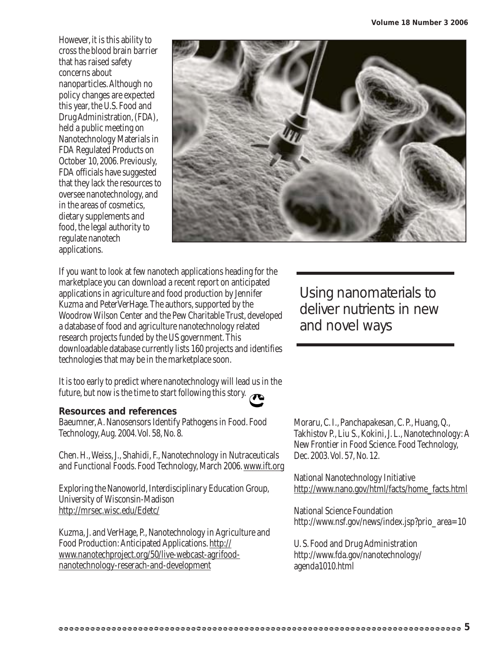However, it is this ability to cross the blood brain barrier that has raised safety concerns about nanoparticles.Although no policy changes are expected this year, the U.S. Food and Drug Administration, (FDA), held a public meeting on Nanotechnology Materials in FDA Regulated Products on October 10, 2006. Previously, FDA officials have suggested that they lack the resources to oversee nanotechnology, and in the areas of cosmetics, dietary supplements and food, the legal authority to regulate nanotech applications.



If you want to look at few nanotech applications heading for the marketplace you can download a recent report on anticipated applications in agriculture and food production by Jennifer Kuzma and PeterVerHage. The authors, supported by the Woodrow Wilson Center and the Pew Charitable Trust, developed a database of food and agriculture nanotechnology related research projects funded by the US government. This downloadable database currently lists 160 projects and identifies technologies that may be in the marketplace soon.

It is too early to predict where nanotechnology will lead us in the future, but now is the time to start following this story.

#### **Resources and references**

Baeumner, A. Nanosensors Identify Pathogens in Food. Food Technology, Aug. 2004. Vol. 58, No. 8.

Chen. H., Weiss, J., Shahidi, F., Nanotechnology in Nutraceuticals and Functional Foods. Food Technology, March 2006. www.ift.org

Exploring the Nanoworld, Interdisciplinary Education Group, University of Wisconsin-Madison http://mrsec.wisc.edu/Edetc/

Kuzma, J. and VerHage, P., Nanotechnology in Agriculture and Food Production: Anticipated Applications. http:// www.nanotechproject.org/50/live-webcast-agrifoodnanotechnology-reserach-and-development

Using nanomaterials to deliver nutrients in new and novel ways

Moraru, C. I., Panchapakesan, C. P., Huang, Q., Takhistov P., Liu S., Kokini, J. L., Nanotechnology: A New Frontier in Food Science. Food Technology, Dec. 2003. Vol. 57, No. 12.

National Nanotechnology Initiative http://www.nano.gov/html/facts/home\_facts.html

National Science Foundation http://www.nsf.gov/news/index.jsp?prio\_area=10

U. S. Food and Drug Administration http://www.fda.gov/nanotechnology/ agenda1010.html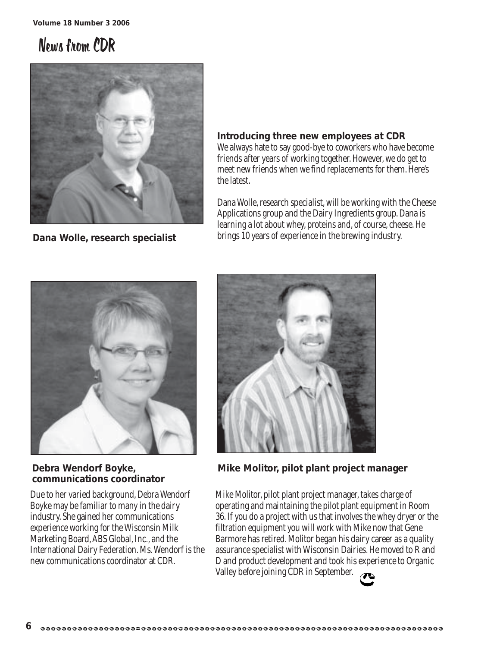## News from CDR



**Dana Wolle, research specialist**

**Introducing three new employees at CDR** We always hate to say good-bye to coworkers who have become friends after years of working together. However, we do get to meet new friends when we find replacements for them. Here's the latest.

Dana Wolle, research specialist, will be working with the Cheese Applications group and the Dairy Ingredients group. Dana is learning a lot about whey, proteins and, of course, cheese. He brings 10 years of experience in the brewing industry.



**Debra Wendorf Boyke, communications coordinator**

Due to her varied background, Debra Wendorf Boyke may be familiar to many in the dairy industry. She gained her communications experience working for the Wisconsin Milk Marketing Board, ABS Global, Inc., and the International Dairy Federation. Ms. Wendorf is the new communications coordinator at CDR.



**Mike Molitor, pilot plant project manager**

Mike Molitor, pilot plant project manager, takes charge of operating and maintaining the pilot plant equipment in Room 36. If you do a project with us that involves the whey dryer or the filtration equipment you will work with Mike now that Gene Barmore has retired. Molitor began his dairy career as a quality assurance specialist with Wisconsin Dairies. He moved to R and D and product development and took his experience to Organic Valley before joining CDR in September.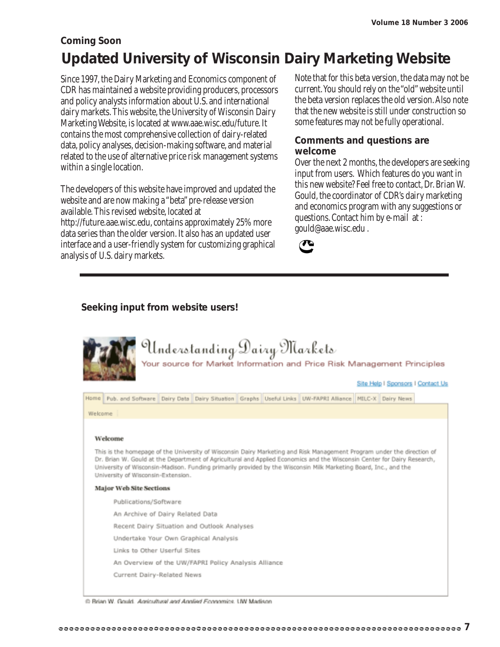## **Coming Soon Updated University of Wisconsin Dairy Marketing Website**

Since 1997, the Dairy Marketing and Economics component of CDR has maintained a website providing producers, processors and policy analysts information about U.S. and international dairy markets. This website, the University of Wisconsin Dairy Marketing Website, is located at www.aae.wisc.edu/future. It contains the most comprehensive collection of dairy-related data, policy analyses, decision-making software, and material related to the use of alternative price risk management systems within a single location.

The developers of this website have improved and updated the website and are now making a "beta" pre-release version available. This revised website, located at http://future.aae.wisc.edu, contains approximately 25% more data series than the older version. It also has an updated user interface and a user-friendly system for customizing graphical analysis of U.S. dairy markets.

Note that for this beta version, the data may not be current. You should rely on the "old" website until the beta version replaces the old version. Also note that the new website is still under construction so some features may not be fully operational.

## **Comments and questions are welcome**

Over the next 2 months, the developers are seeking input from users. Which features do you want in this new website? Feel free to contact, Dr. Brian W. Gould, the coordinator of CDR's dairy marketing and economics program with any suggestions or questions. Contact him by e-mail at : gould@aae.wisc.edu .



## **Seeking input from website users!**

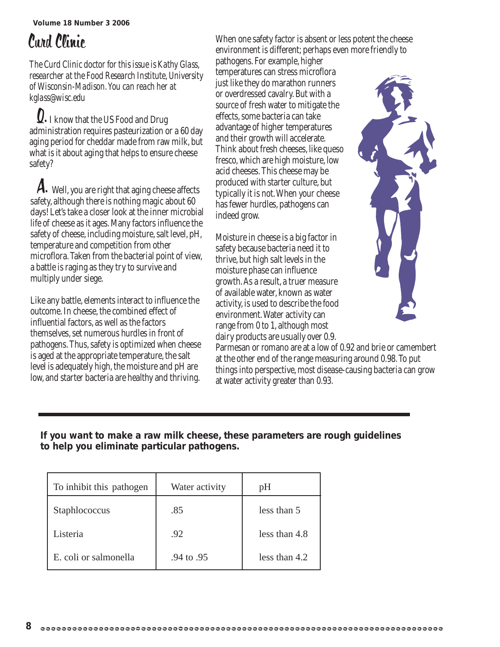## Curd Clinic

*The Curd Clinic doctor for this issue is Kathy Glass, researcher at the Food Research Institute, University of Wisconsin-Madison. You can reach her at kglass@wisc.edu*

**Q.** I know that the US Food and Drug administration requires pasteurization or a 60 day aging period for cheddar made from raw milk, but what is it about aging that helps to ensure cheese safety?

 $\mathcal A$ . Well, you are right that aging cheese affects safety, although there is nothing magic about 60 days! Let's take a closer look at the inner microbial life of cheese as it ages. Many factors influence the safety of cheese, including moisture, salt level, pH, temperature and competition from other microflora. Taken from the bacterial point of view, a battle is raging as they try to survive and multiply under siege.

Like any battle, elements interact to influence the outcome. In cheese, the combined effect of influential factors, as well as the factors themselves, set numerous hurdles in front of pathogens. Thus, safety is optimized when cheese is aged at the appropriate temperature, the salt level is adequately high, the moisture and pH are low, and starter bacteria are healthy and thriving.

When one safety factor is absent or less potent the cheese environment is different; perhaps even more friendly to

pathogens. For example, higher temperatures can stress microflora just like they do marathon runners or overdressed cavalry. But with a source of fresh water to mitigate the effects, some bacteria can take advantage of higher temperatures and their growth will accelerate. Think about fresh cheeses, like queso fresco, which are high moisture, low acid cheeses. This cheese may be produced with starter culture, but typically it is not. When your cheese has fewer hurdles, pathogens can indeed grow.

Moisture in cheese is a big factor in safety because bacteria need it to thrive, but high salt levels in the moisture phase can influence growth. As a result, a truer measure of available water, known as water activity, is used to describe the food environment. Water activity can range from 0 to 1, although most dairy products are usually over 0.9.



Parmesan or romano are at a low of 0.92 and brie or camembert at the other end of the range measuring around 0.98. To put things into perspective, most disease-causing bacteria can grow at water activity greater than 0.93.

## **If you want to make a raw milk cheese, these parameters are rough guidelines to help you eliminate particular pathogens.**

| To inhibit this pathogen | Water activity | pH            |
|--------------------------|----------------|---------------|
| Staphlococcus            | .85            | less than 5   |
| Listeria                 | .92            | less than 4.8 |
| E. coli or salmonella    | .94 to .95     | less than 4.2 |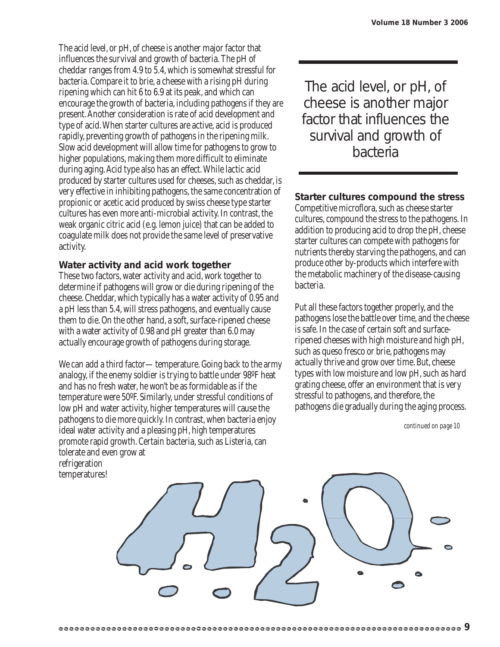The acid level, or pH, of cheese is another major factor that influences the survival and growth of bacteria. The pH of cheddar ranges from 4.9 to 5.4, which is somewhat stressful for bacteria. Compare it to brie, a cheese with a rising pH during ripening which can hit 6 to 6.9 at its peak, and which can encourage the growth of bacteria, including pathogens if they are present. Another consideration is rate of acid development and type of acid. When starter cultures are active, acid is produced rapidly, preventing growth of pathogens in the ripening milk. Slow acid development will allow time for pathogens to grow to higher populations, making them more difficult to eliminate during aging. Acid type also has an effect. While lactic acid produced by starter cultures used for cheeses, such as cheddar, is very effective in inhibiting pathogens, the same concentration of propionic or acetic acid produced by swiss cheese type starter cultures has even more anti-microbial activity. In contrast, the weak organic citric acid (e.g. lemon juice) that can be added to coagulate milk does not provide the same level of preservative activity.

#### **Water activity and acid work together**

These two factors, water activity and acid, work together to determine if pathogens will grow or die during ripening of the cheese. Cheddar, which typically has a water activity of 0.95 and a pH less than 5.4, will stress pathogens, and eventually cause them to die. On the other hand, a soft, surface-ripened cheese with a water activity of 0.98 and pH greater than 6.0 may actually encourage growth of pathogens during storage.

We can add a third factor—temperature. Going back to the army analogy, if the enemy soldier is trying to battle under 98ºF heat and has no fresh water, he won't be as formidable as if the temperature were 50ºF. Similarly, under stressful conditions of low pH and water activity, higher temperatures will cause the pathogens to die more quickly. In contrast, when bacteria enjoy ideal water activity and a pleasing pH, high temperatures promote rapid growth. Certain bacteria, such as Listeria, can tolerate and even grow at refrigeration temperatures!

The acid level, or pH, of cheese is another major factor that influences the survival and growth of bacteria

### **Starter cultures compound the stress**

Competitive microflora, such as cheese starter cultures, compound the stress to the pathogens. In addition to producing acid to drop the pH, cheese starter cultures can compete with pathogens for nutrients thereby starving the pathogens, and can produce other by-products which interfere with the metabolic machinery of the disease-causing bacteria.

Put all these factors together properly, and the pathogens lose the battle over time, and the cheese is safe. In the case of certain soft and surfaceripened cheeses with high moisture and high pH, such as queso fresco or brie, pathogens may actually thrive and grow over time. But, cheese types with low moisture and low pH, such as hard grating cheese, offer an environment that is very stressful to pathogens, and therefore, the pathogens die gradually during the aging process.

*continued on page 10*

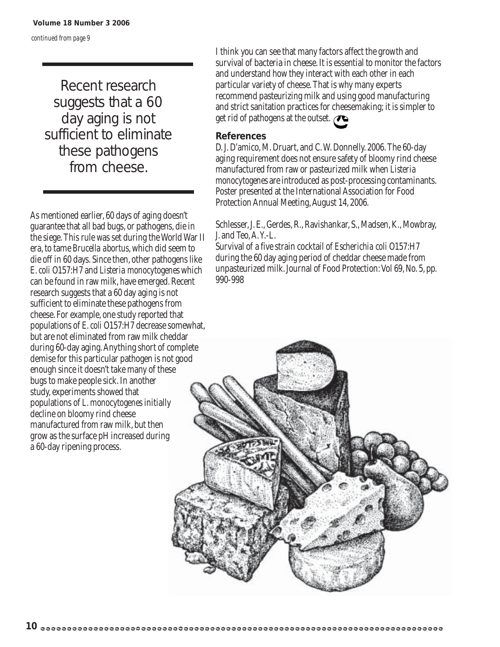*continued from page 9*

Recent research suggests that a 60 day aging is not sufficient to eliminate these pathogens from cheese.

As mentioned earlier, 60 days of aging doesn't guarantee that all bad bugs, or pathogens, die in the siege. This rule was set during the World War II era, to tame *Brucella abortus*, which did seem to die off in 60 days. Since then, other pathogens like *E. coli* O157:H7 and *Listeria monocytogenes* which can be found in raw milk, have emerged. Recent research suggests that a 60 day aging is not sufficient to eliminate these pathogens from cheese. For example, one study reported that populations of *E. coli* O157:H7 decrease somewhat, but are not eliminated from raw milk cheddar during 60-day aging. Anything short of complete demise for this particular pathogen is not good enough since it doesn't take many of these bugs to make people sick. In another study, experiments showed that populations of *L. monocytogenes* initially decline on bloomy rind cheese manufactured from raw milk, but then grow as the surface pH increased during a 60-day ripening process.

I think you can see that many factors affect the growth and survival of bacteria in cheese. It is essential to monitor the factors and understand how they interact with each other in each particular variety of cheese. That is why many experts recommend pasteurizing milk and using good manufacturing and strict sanitation practices for cheesemaking; it is simpler to get rid of pathogens at the outset.

#### **References**



Schlesser, J. E., Gerdes, R., Ravishankar, S., Madsen, K., Mowbray, J. and Teo, A. Y.-L.

Survival of a five strain cocktail of *Escherichia coli* O157:H7 during the 60 day aging period of cheddar cheese made from unpasteurized milk. Journal of Food Protection: Vol 69, No. 5, pp. 990-998

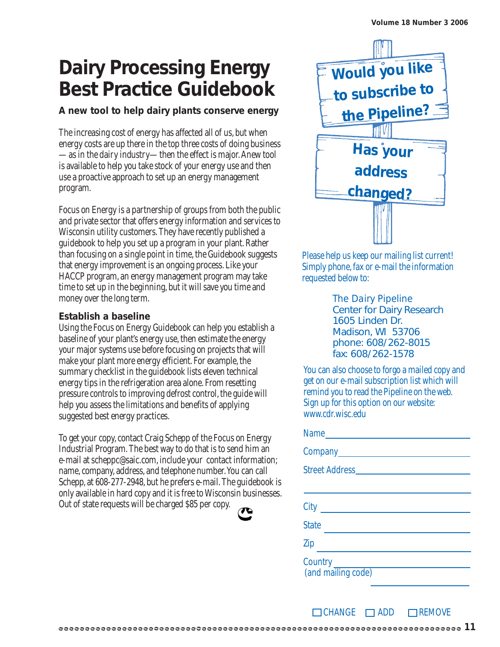## **Dairy Processing Energy Best Practice Guidebook**

## **A new tool to help dairy plants conserve energy**

The increasing cost of energy has affected all of us, but when energy costs are up there in the top three costs of doing business —as in the dairy industry—then the effect is major. Anew tool is available to help you take stock of your energy use and then use a proactive approach to set up an energy management program.

Focus on Energy is a partnership of groups from both the public and private sector that offers energy information and services to Wisconsin utility customers. They have recently published a guidebook to help you set up a program in your plant. Rather than focusing on a single point in time, the Guidebook suggests that energy improvement is an ongoing process. Like your HACCP program, an energy management program may take time to set up in the beginning, but it will save you time and money over the long term.

### **Establish a baseline**

Using the Focus on Energy Guidebook can help you establish a baseline of your plant's energy use, then estimate the energy your major systems use before focusing on projects that will make your plant more energy efficient. For example, the summary checklist in the guidebook lists eleven technical energy tips in the refrigeration area alone. From resetting pressure controls to improving defrost control, the guide will help you assess the limitations and benefits of applying suggested best energy practices.

To get your copy, contact Craig Schepp of the Focus on Energy Industrial Program. The best way to do that is to send him an e-mail at scheppc@saic.com, include your contact information; name, company, address, and telephone number. You can call Schepp, at 608-277-2948, but he prefers e-mail. The guidebook is only available in hard copy and it is free to Wisconsin businesses. Out of state requests will be charged \$85 per copy.

| ×<br>۰.<br>- 1 |  |
|----------------|--|



Please help us keep our mailing list current! Simply phone, fax or e-mail the information requested below to:

> *The Dairy Pipeline* Center for Dairy Research 1605 Linden Dr. Madison, WI 53706 phone: 608/262-8015 fax: 608/262-1578

You can also choose to forgo a mailed copy and get on our e-mail subscription list which will remind you to read the Pipeline on the web. Sign up for this option on our website: www.cdr.wisc.edu

| <b>State</b><br><b>Contract Contract</b>     |
|----------------------------------------------|
| Zip                                          |
| Country <u>Country</u><br>(and mailing code) |

 $\Box$ CHANGE  $\Box$ ADD  $\Box$ REMOVE